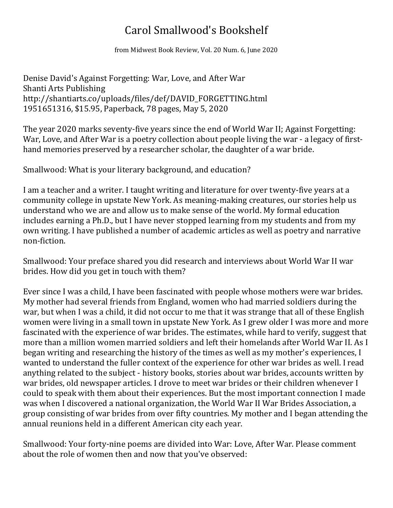## Carol Smallwood's Bookshelf

from Midwest Book Review, Vol. 20 Num. 6, June 2020

Denise David's Against Forgetting: War, Love, and After War Shanti Arts Publishing http://shantiarts.co/uploads/files/def/DAVID\_FORGETTING.html 1951651316, \$15.95, Paperback, 78 pages, May 5, 2020

The year 2020 marks seventy-five years since the end of World War II; Against Forgetting: War, Love, and After War is a poetry collection about people living the war - a legacy of firsthand memories preserved by a researcher scholar, the daughter of a war bride.

Smallwood: What is your literary background, and education?

I am a teacher and a writer. I taught writing and literature for over twenty-five years at a community college in upstate New York. As meaning-making creatures, our stories help us understand who we are and allow us to make sense of the world. My formal education includes earning a Ph.D., but I have never stopped learning from my students and from my own writing. I have published a number of academic articles as well as poetry and narrative non-fiction.

Smallwood: Your preface shared you did research and interviews about World War II war brides. How did you get in touch with them?

Ever since I was a child, I have been fascinated with people whose mothers were war brides. My mother had several friends from England, women who had married soldiers during the war, but when I was a child, it did not occur to me that it was strange that all of these English women were living in a small town in upstate New York. As I grew older I was more and more fascinated with the experience of war brides. The estimates, while hard to verify, suggest that more than a million women married soldiers and left their homelands after World War II. As I began writing and researching the history of the times as well as my mother's experiences, I wanted to understand the fuller context of the experience for other war brides as well. I read anything related to the subject - history books, stories about war brides, accounts written by war brides, old newspaper articles. I drove to meet war brides or their children whenever I could to speak with them about their experiences. But the most important connection I made was when I discovered a national organization, the World War II War Brides Association, a group consisting of war brides from over fifty countries. My mother and I began attending the annual reunions held in a different American city each year.

Smallwood: Your forty-nine poems are divided into War: Love, After War. Please comment about the role of women then and now that you've observed: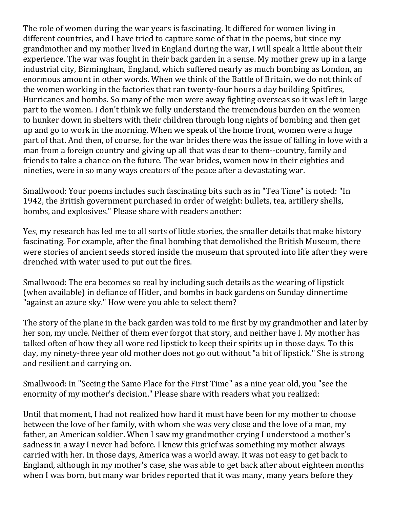The role of women during the war years is fascinating. It differed for women living in different countries, and I have tried to capture some of that in the poems, but since my grandmother and my mother lived in England during the war, I will speak a little about their experience. The war was fought in their back garden in a sense. My mother grew up in a large industrial city, Birmingham, England, which suffered nearly as much bombing as London, an enormous amount in other words. When we think of the Battle of Britain, we do not think of the women working in the factories that ran twenty-four hours a day building Spitfires, Hurricanes and bombs. So many of the men were away fighting overseas so it was left in large part to the women. I don't think we fully understand the tremendous burden on the women to hunker down in shelters with their children through long nights of bombing and then get up and go to work in the morning. When we speak of the home front, women were a huge part of that. And then, of course, for the war brides there was the issue of falling in love with a man from a foreign country and giving up all that was dear to them--country, family and friends to take a chance on the future. The war brides, women now in their eighties and nineties, were in so many ways creators of the peace after a devastating war.

Smallwood: Your poems includes such fascinating bits such as in "Tea Time" is noted: "In 1942, the British government purchased in order of weight: bullets, tea, artillery shells, bombs, and explosives." Please share with readers another:

Yes, my research has led me to all sorts of little stories, the smaller details that make history fascinating. For example, after the final bombing that demolished the British Museum, there were stories of ancient seeds stored inside the museum that sprouted into life after they were drenched with water used to put out the fires.

Smallwood: The era becomes so real by including such details as the wearing of lipstick (when available) in defiance of Hitler, and bombs in back gardens on Sunday dinnertime "against an azure sky." How were you able to select them?

The story of the plane in the back garden was told to me first by my grandmother and later by her son, my uncle. Neither of them ever forgot that story, and neither have I. My mother has talked often of how they all wore red lipstick to keep their spirits up in those days. To this day, my ninety-three year old mother does not go out without "a bit of lipstick." She is strong and resilient and carrying on.

Smallwood: In "Seeing the Same Place for the First Time" as a nine year old, you "see the enormity of my mother's decision." Please share with readers what you realized:

Until that moment, I had not realized how hard it must have been for my mother to choose between the love of her family, with whom she was very close and the love of a man, my father, an American soldier. When I saw my grandmother crying I understood a mother's sadness in a way I never had before. I knew this grief was something my mother always carried with her. In those days, America was a world away. It was not easy to get back to England, although in my mother's case, she was able to get back after about eighteen months when I was born, but many war brides reported that it was many, many years before they